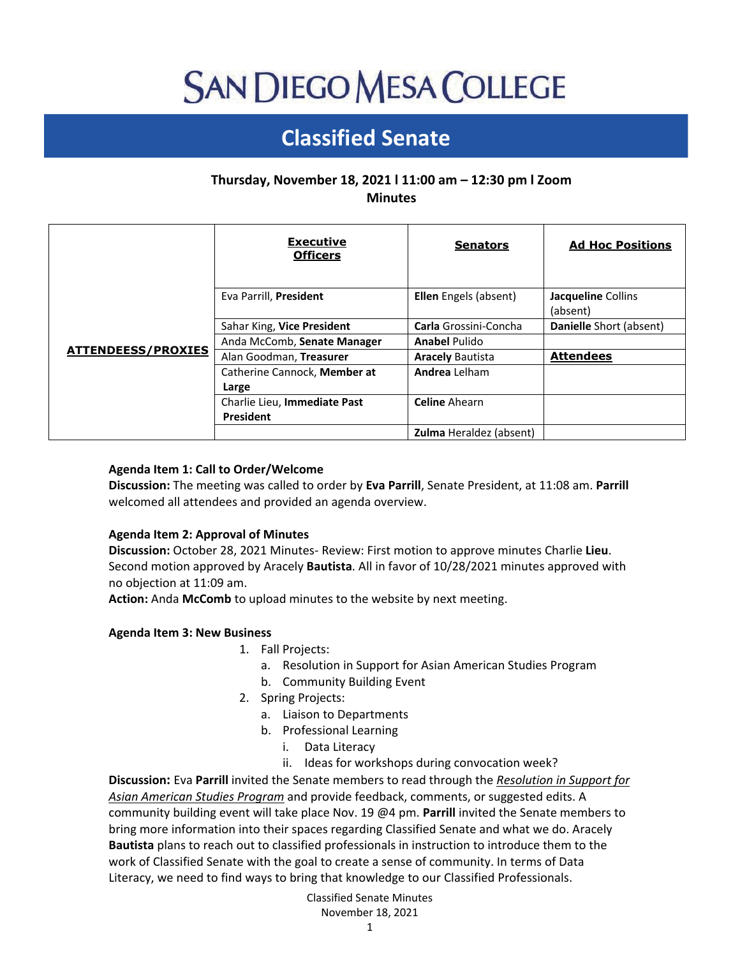# **SAN DIEGO MESA COLLEGE**

# **Classified Senate**

# **Thursday, November 18, 2021 l 11:00 am – 12:30 pm l Zoom Minutes**

|                           | <b>Executive</b><br><b>Officers</b>              | <b>Senators</b>                | <b>Ad Hoc Positions</b>        |
|---------------------------|--------------------------------------------------|--------------------------------|--------------------------------|
| <b>ATTENDEESS/PROXIES</b> | Eva Parrill, President                           | Ellen Engels (absent)          | Jacqueline Collins<br>(absent) |
|                           | Sahar King, Vice President                       | <b>Carla</b> Grossini-Concha   | Danielle Short (absent)        |
|                           | Anda McComb, Senate Manager                      | <b>Anabel Pulido</b>           |                                |
|                           | Alan Goodman, Treasurer                          | <b>Aracely Bautista</b>        | <b>Attendees</b>               |
|                           | Catherine Cannock, Member at<br>Large            | Andrea Lelham                  |                                |
|                           | Charlie Lieu, Immediate Past<br><b>President</b> | <b>Celine Ahearn</b>           |                                |
|                           |                                                  | <b>Zulma</b> Heraldez (absent) |                                |

### **Agenda Item 1: Call to Order/Welcome**

**Discussion:** The meeting was called to order by **Eva Parrill**, Senate President, at 11:08 am. **Parrill** welcomed all attendees and provided an agenda overview.

#### **Agenda Item 2: Approval of Minutes**

**Discussion:** October 28, 2021 Minutes- Review: First motion to approve minutes Charlie **Lieu**. Second motion approved by Aracely **Bautista**. All in favor of 10/28/2021 minutes approved with no objection at 11:09 am.

**Action:** Anda **McComb** to upload minutes to the website by next meeting.

#### **Agenda Item 3: New Business**

- 1. Fall Projects:
	- a. Resolution in Support for Asian American Studies Program
	- b. Community Building Event
- 2. Spring Projects:
	- a. Liaison to Departments
	- b. Professional Learning
		- i. Data Literacy
		- ii. Ideas for workshops during convocation week?

**Discussion:** Eva **Parrill** invited the Senate members to read through the *Resolution in Support for Asian American Studies Program* and provide feedback, comments, or suggested edits. A community building event will take place Nov. 19 @4 pm. **Parrill** invited the Senate members to bring more information into their spaces regarding Classified Senate and what we do. Aracely **Bautista** plans to reach out to classified professionals in instruction to introduce them to the work of Classified Senate with the goal to create a sense of community. In terms of Data Literacy, we need to find ways to bring that knowledge to our Classified Professionals.

# Classified Senate Minutes November 18, 2021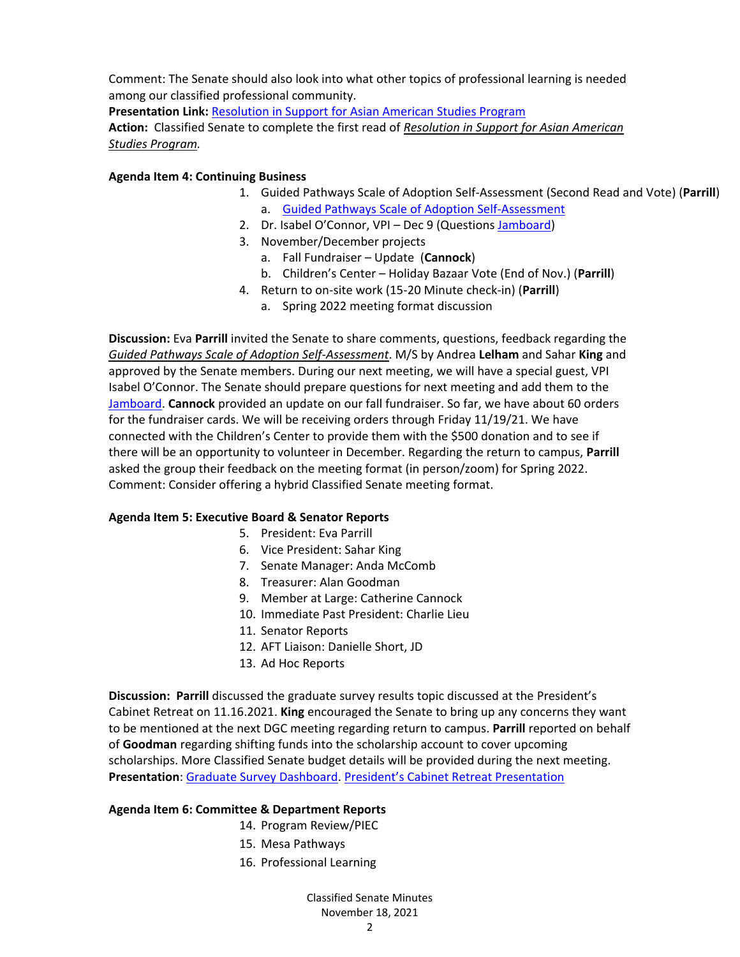Comment: The Senate should also look into what other topics of professional learning is needed among our classified professional community.

**Presentation Link:** [Resolution in Support for Asian American Studies Program](https://docs.google.com/document/d/1J-DkjQ4UjTuU6RWtbT2soa9j2PMKpKBpAyEp-uSYtKc/edit?usp=sharing) **Action:** Classified Senate to complete the first read of *Resolution in Support for Asian American Studies Program.*

# **Agenda Item 4: Continuing Business**

- 1. Guided Pathways Scale of Adoption Self-Assessment (Second Read and Vote) (**Parrill**) a. [Guided Pathways Scale of Adoption Self-Assessment](https://drive.google.com/file/d/17DpxVYOBIdMGmGmNGKqP5TbP1AQu5Xbs/view)
- 2. Dr. Isabel O'Connor, VPI Dec 9 (Questions [Jamboard\)](https://jamboard.google.com/d/14YY5F9tlXuhAb21p_ToUop3kmbYMtyCkcm9IuLpAyOU/viewer)
- 3. November/December projects
	- a. Fall Fundraiser Update (**Cannock**)
	- b. Children's Center Holiday Bazaar Vote (End of Nov.) (**Parrill**)
- 4. Return to on-site work (15-20 Minute check-in) (**Parrill**)
	- a. Spring 2022 meeting format discussion

**Discussion:** Eva **Parrill** invited the Senate to share comments, questions, feedback regarding the *Guided Pathways Scale of Adoption Self-Assessment*. M/S by Andrea **Lelham** and Sahar **King** and approved by the Senate members. During our next meeting, we will have a special guest, VPI Isabel O'Connor. The Senate should prepare questions for next meeting and add them to the [Jamboard.](https://jamboard.google.com/d/14YY5F9tlXuhAb21p_ToUop3kmbYMtyCkcm9IuLpAyOU/viewer) **Cannock** provided an update on our fall fundraiser. So far, we have about 60 orders for the fundraiser cards. We will be receiving orders through Friday 11/19/21. We have connected with the Children's Center to provide them with the \$500 donation and to see if there will be an opportunity to volunteer in December. Regarding the return to campus, **Parrill** asked the group their feedback on the meeting format (in person/zoom) for Spring 2022. Comment: Consider offering a hybrid Classified Senate meeting format.

# **Agenda Item 5: Executive Board & Senator Reports**

- 5. President: Eva Parrill
- 6. Vice President: Sahar King
- 7. Senate Manager: Anda McComb
- 8. Treasurer: Alan Goodman
- 9. Member at Large: Catherine Cannock
- 10. Immediate Past President: Charlie Lieu
- 11. Senator Reports
- 12. AFT Liaison: Danielle Short, JD
- 13. Ad Hoc Reports

**Discussion: Parrill** discussed the graduate survey results topic discussed at the President's Cabinet Retreat on 11.16.2021. **King** encouraged the Senate to bring up any concerns they want to be mentioned at the next DGC meeting regarding return to campus. **Parrill** reported on behalf of **Goodman** regarding shifting funds into the scholarship account to cover upcoming scholarships. More Classified Senate budget details will be provided during the next meeting. **Presentation**: [Graduate Survey Dashboard.](https://www.sdmesa.edu/about-mesa/institutional-effectiveness/institutional-research/data-warehouse/Grad%20Survey-Comprehensive.shtml) [President's Cabinet Retreat Presentation](https://docs.google.com/presentation/d/1i3nbCwAjqKAQatXN8rbjv2GJyZS3M_NSRlBs6vX8jKE/edit?usp=sharing)

# **Agenda Item 6: Committee & Department Reports**

- 14. Program Review/PIEC
- 15. Mesa Pathways
- 16. Professional Learning